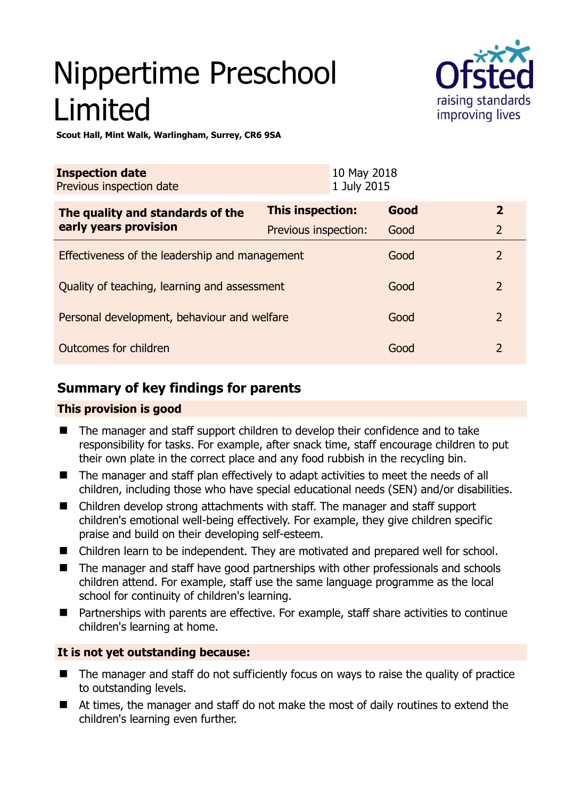# Nippertime Preschool Limited



**Scout Hall, Mint Walk, Warlingham, Surrey, CR6 9SA** 

| <b>Inspection date</b><br>Previous inspection date |                      | 10 May 2018<br>1 July 2015 |      |                |
|----------------------------------------------------|----------------------|----------------------------|------|----------------|
| The quality and standards of the                   | This inspection:     |                            | Good | $\overline{2}$ |
| early years provision                              | Previous inspection: |                            | Good | $\overline{2}$ |
| Effectiveness of the leadership and management     |                      |                            | Good | $\overline{2}$ |
| Quality of teaching, learning and assessment       |                      |                            | Good | $\overline{2}$ |
| Personal development, behaviour and welfare        |                      |                            | Good | $\overline{2}$ |
| Outcomes for children                              |                      |                            | Good | $\overline{2}$ |

# **Summary of key findings for parents**

## **This provision is good**

- The manager and staff support children to develop their confidence and to take responsibility for tasks. For example, after snack time, staff encourage children to put their own plate in the correct place and any food rubbish in the recycling bin.
- The manager and staff plan effectively to adapt activities to meet the needs of all children, including those who have special educational needs (SEN) and/or disabilities.
- Children develop strong attachments with staff. The manager and staff support children's emotional well-being effectively. For example, they give children specific praise and build on their developing self-esteem.
- Children learn to be independent. They are motivated and prepared well for school.
- The manager and staff have good partnerships with other professionals and schools children attend. For example, staff use the same language programme as the local school for continuity of children's learning.
- Partnerships with parents are effective. For example, staff share activities to continue children's learning at home.

## **It is not yet outstanding because:**

- The manager and staff do not sufficiently focus on ways to raise the quality of practice to outstanding levels.
- At times, the manager and staff do not make the most of daily routines to extend the children's learning even further.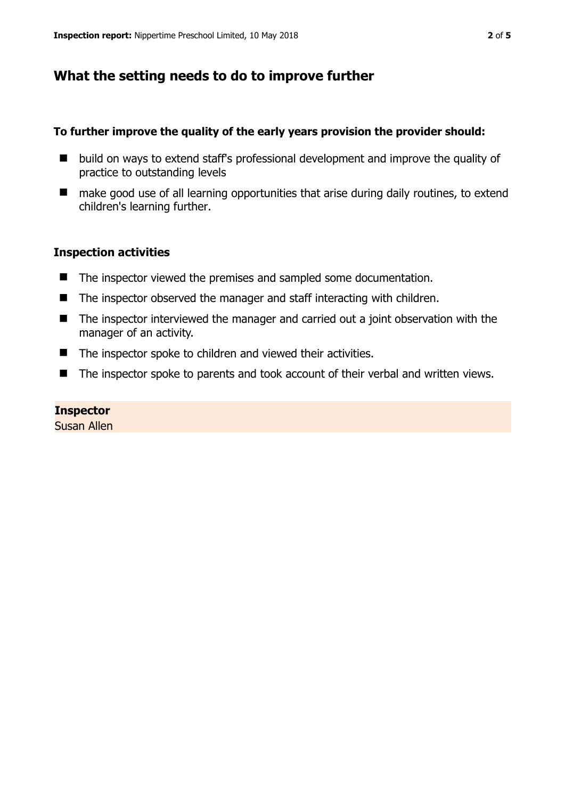# **What the setting needs to do to improve further**

#### **To further improve the quality of the early years provision the provider should:**

- build on ways to extend staff's professional development and improve the quality of practice to outstanding levels
- make good use of all learning opportunities that arise during daily routines, to extend children's learning further.

#### **Inspection activities**

- The inspector viewed the premises and sampled some documentation.
- $\blacksquare$  The inspector observed the manager and staff interacting with children.
- The inspector interviewed the manager and carried out a joint observation with the manager of an activity.
- The inspector spoke to children and viewed their activities.
- The inspector spoke to parents and took account of their verbal and written views.

#### **Inspector**

Susan Allen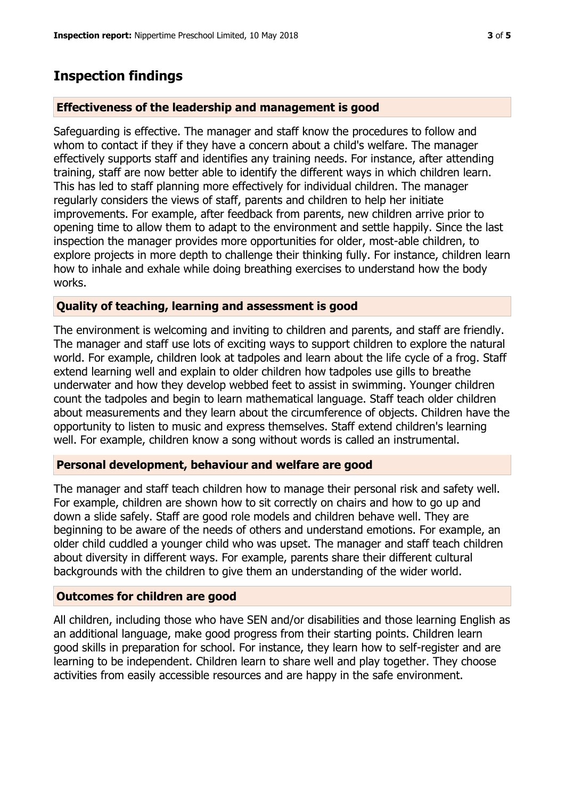## **Inspection findings**

#### **Effectiveness of the leadership and management is good**

Safeguarding is effective. The manager and staff know the procedures to follow and whom to contact if they if they have a concern about a child's welfare. The manager effectively supports staff and identifies any training needs. For instance, after attending training, staff are now better able to identify the different ways in which children learn. This has led to staff planning more effectively for individual children. The manager regularly considers the views of staff, parents and children to help her initiate improvements. For example, after feedback from parents, new children arrive prior to opening time to allow them to adapt to the environment and settle happily. Since the last inspection the manager provides more opportunities for older, most-able children, to explore projects in more depth to challenge their thinking fully. For instance, children learn how to inhale and exhale while doing breathing exercises to understand how the body works.

#### **Quality of teaching, learning and assessment is good**

The environment is welcoming and inviting to children and parents, and staff are friendly. The manager and staff use lots of exciting ways to support children to explore the natural world. For example, children look at tadpoles and learn about the life cycle of a frog. Staff extend learning well and explain to older children how tadpoles use gills to breathe underwater and how they develop webbed feet to assist in swimming. Younger children count the tadpoles and begin to learn mathematical language. Staff teach older children about measurements and they learn about the circumference of objects. Children have the opportunity to listen to music and express themselves. Staff extend children's learning well. For example, children know a song without words is called an instrumental.

#### **Personal development, behaviour and welfare are good**

The manager and staff teach children how to manage their personal risk and safety well. For example, children are shown how to sit correctly on chairs and how to go up and down a slide safely. Staff are good role models and children behave well. They are beginning to be aware of the needs of others and understand emotions. For example, an older child cuddled a younger child who was upset. The manager and staff teach children about diversity in different ways. For example, parents share their different cultural backgrounds with the children to give them an understanding of the wider world.

#### **Outcomes for children are good**

All children, including those who have SEN and/or disabilities and those learning English as an additional language, make good progress from their starting points. Children learn good skills in preparation for school. For instance, they learn how to self-register and are learning to be independent. Children learn to share well and play together. They choose activities from easily accessible resources and are happy in the safe environment.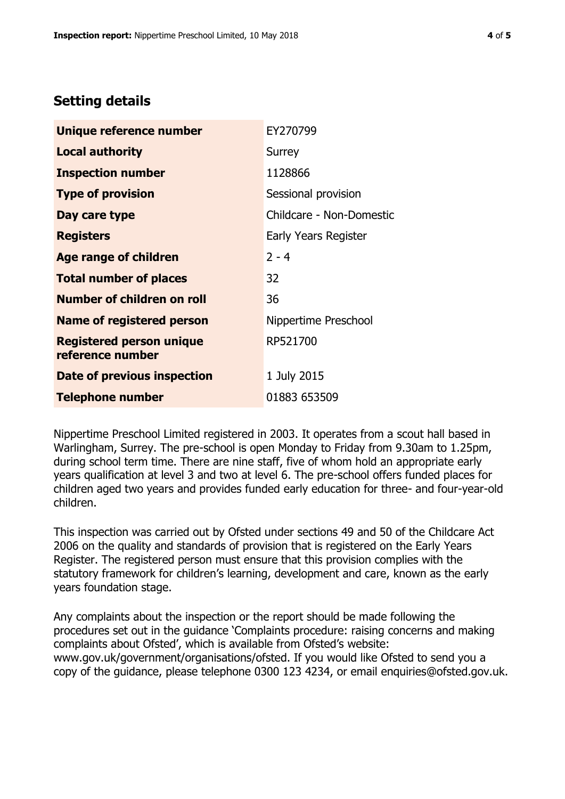## **Setting details**

| Unique reference number                             | EY270799                 |  |  |
|-----------------------------------------------------|--------------------------|--|--|
| <b>Local authority</b>                              | Surrey                   |  |  |
| <b>Inspection number</b>                            | 1128866                  |  |  |
| <b>Type of provision</b>                            | Sessional provision      |  |  |
| Day care type                                       | Childcare - Non-Domestic |  |  |
| <b>Registers</b>                                    | Early Years Register     |  |  |
| <b>Age range of children</b>                        | $2 - 4$                  |  |  |
| <b>Total number of places</b>                       | 32                       |  |  |
| <b>Number of children on roll</b>                   | 36                       |  |  |
| <b>Name of registered person</b>                    | Nippertime Preschool     |  |  |
| <b>Registered person unique</b><br>reference number | RP521700                 |  |  |
| Date of previous inspection                         | 1 July 2015              |  |  |
| <b>Telephone number</b>                             | 01883 653509             |  |  |

Nippertime Preschool Limited registered in 2003. It operates from a scout hall based in Warlingham, Surrey. The pre-school is open Monday to Friday from 9.30am to 1.25pm, during school term time. There are nine staff, five of whom hold an appropriate early years qualification at level 3 and two at level 6. The pre-school offers funded places for children aged two years and provides funded early education for three- and four-year-old children.

This inspection was carried out by Ofsted under sections 49 and 50 of the Childcare Act 2006 on the quality and standards of provision that is registered on the Early Years Register. The registered person must ensure that this provision complies with the statutory framework for children's learning, development and care, known as the early years foundation stage.

Any complaints about the inspection or the report should be made following the procedures set out in the guidance 'Complaints procedure: raising concerns and making complaints about Ofsted', which is available from Ofsted's website: www.gov.uk/government/organisations/ofsted. If you would like Ofsted to send you a copy of the guidance, please telephone 0300 123 4234, or email enquiries@ofsted.gov.uk.